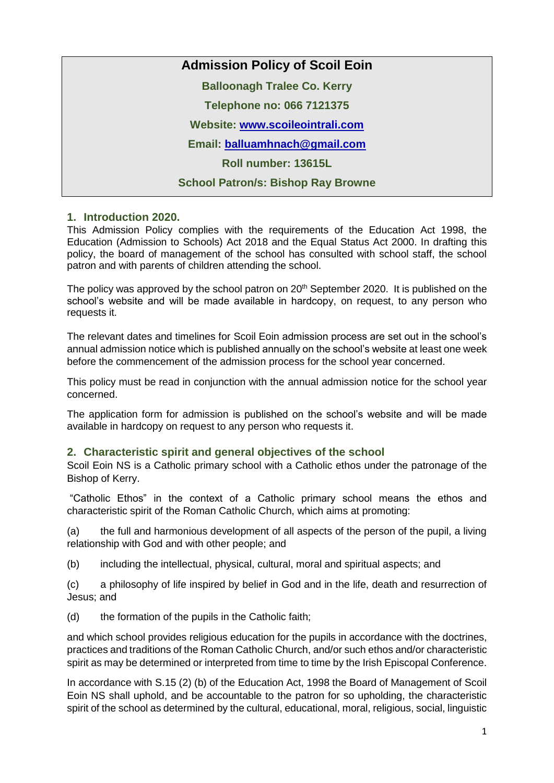# **Admission Policy of Scoil Eoin**

**Balloonagh Tralee Co. Kerry**

**Telephone no: 066 7121375**

**Website: [www.scoileointrali.com](http://www.scoileointrali.com/)**

**Email: [balluamhnach@gmail.com](mailto:balluamhnach@gmail.com)**

**Roll number: 13615L**

**School Patron/s: Bishop Ray Browne**

# **1. Introduction 2020.**

This Admission Policy complies with the requirements of the Education Act 1998, the Education (Admission to Schools) Act 2018 and the Equal Status Act 2000. In drafting this policy, the board of management of the school has consulted with school staff, the school patron and with parents of children attending the school.

The policy was approved by the school patron on  $20<sup>th</sup>$  September 2020. It is published on the school's website and will be made available in hardcopy, on request, to any person who requests it.

The relevant dates and timelines for Scoil Eoin admission process are set out in the school's annual admission notice which is published annually on the school's website at least one week before the commencement of the admission process for the school year concerned.

This policy must be read in conjunction with the annual admission notice for the school year concerned.

The application form for admission is published on the school's website and will be made available in hardcopy on request to any person who requests it.

# **2. Characteristic spirit and general objectives of the school**

Scoil Eoin NS is a Catholic primary school with a Catholic ethos under the patronage of the Bishop of Kerry.

"Catholic Ethos" in the context of a Catholic primary school means the ethos and characteristic spirit of the Roman Catholic Church, which aims at promoting:

(a) the full and harmonious development of all aspects of the person of the pupil, a living relationship with God and with other people; and

(b) including the intellectual, physical, cultural, moral and spiritual aspects; and

(c) a philosophy of life inspired by belief in God and in the life, death and resurrection of Jesus; and

(d) the formation of the pupils in the Catholic faith;

and which school provides religious education for the pupils in accordance with the doctrines, practices and traditions of the Roman Catholic Church, and/or such ethos and/or characteristic spirit as may be determined or interpreted from time to time by the Irish Episcopal Conference.

In accordance with S.15 (2) (b) of the Education Act, 1998 the Board of Management of Scoil Eoin NS shall uphold, and be accountable to the patron for so upholding, the characteristic spirit of the school as determined by the cultural, educational, moral, religious, social, linguistic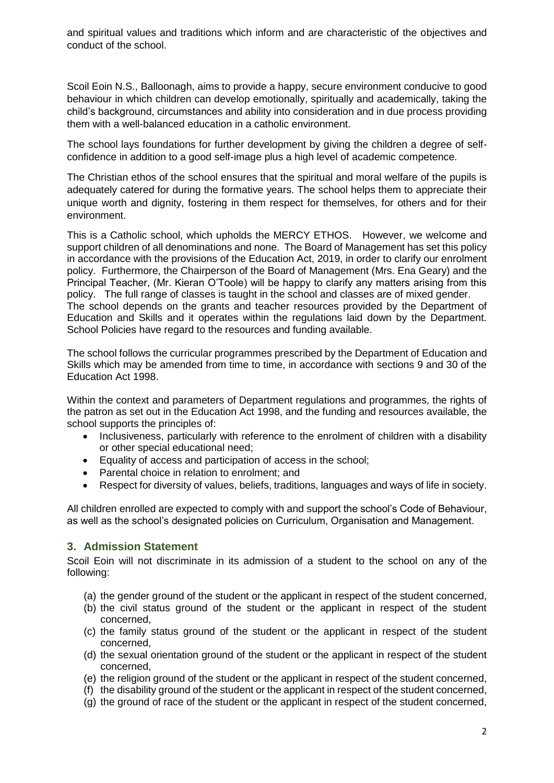and spiritual values and traditions which inform and are characteristic of the objectives and conduct of the school.

Scoil Eoin N.S., Balloonagh, aims to provide a happy, secure environment conducive to good behaviour in which children can develop emotionally, spiritually and academically, taking the child's background, circumstances and ability into consideration and in due process providing them with a well-balanced education in a catholic environment.

The school lays foundations for further development by giving the children a degree of selfconfidence in addition to a good self-image plus a high level of academic competence.

The Christian ethos of the school ensures that the spiritual and moral welfare of the pupils is adequately catered for during the formative years. The school helps them to appreciate their unique worth and dignity, fostering in them respect for themselves, for others and for their environment.

This is a Catholic school, which upholds the MERCY ETHOS. However, we welcome and support children of all denominations and none. The Board of Management has set this policy in accordance with the provisions of the Education Act, 2019, in order to clarify our enrolment policy. Furthermore, the Chairperson of the Board of Management (Mrs. Ena Geary) and the Principal Teacher, (Mr. Kieran O'Toole) will be happy to clarify any matters arising from this policy. The full range of classes is taught in the school and classes are of mixed gender. The school depends on the grants and teacher resources provided by the Department of Education and Skills and it operates within the regulations laid down by the Department. School Policies have regard to the resources and funding available.

The school follows the curricular programmes prescribed by the Department of Education and Skills which may be amended from time to time, in accordance with sections 9 and 30 of the Education Act 1998.

Within the context and parameters of Department regulations and programmes, the rights of the patron as set out in the Education Act 1998, and the funding and resources available, the school supports the principles of:

- Inclusiveness, particularly with reference to the enrolment of children with a disability or other special educational need;
- Equality of access and participation of access in the school;
- Parental choice in relation to enrolment; and
- Respect for diversity of values, beliefs, traditions, languages and ways of life in society.

All children enrolled are expected to comply with and support the school's Code of Behaviour, as well as the school's designated policies on Curriculum, Organisation and Management.

# **3. Admission Statement**

Scoil Eoin will not discriminate in its admission of a student to the school on any of the following:

- (a) the gender ground of the student or the applicant in respect of the student concerned,
- (b) the civil status ground of the student or the applicant in respect of the student concerned,
- (c) the family status ground of the student or the applicant in respect of the student concerned,
- (d) the sexual orientation ground of the student or the applicant in respect of the student concerned,
- (e) the religion ground of the student or the applicant in respect of the student concerned,
- (f) the disability ground of the student or the applicant in respect of the student concerned,
- (g) the ground of race of the student or the applicant in respect of the student concerned,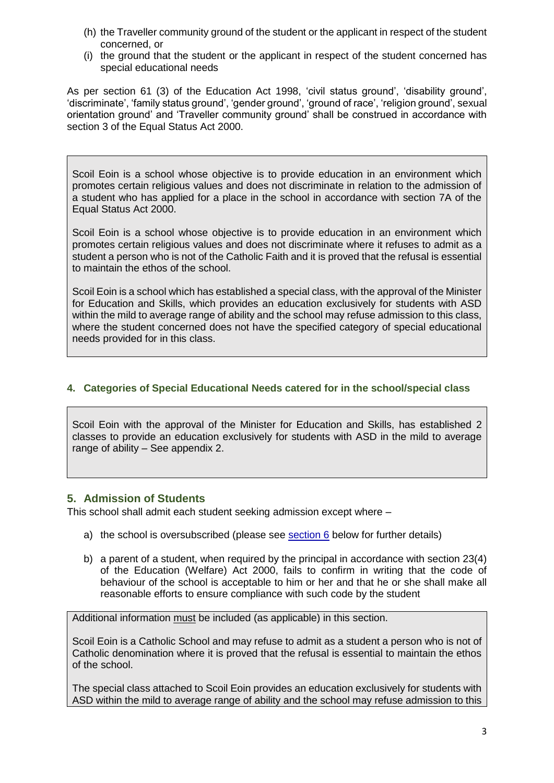- (h) the Traveller community ground of the student or the applicant in respect of the student concerned, or
- (i) the ground that the student or the applicant in respect of the student concerned has special educational needs

As per section 61 (3) of the Education Act 1998, 'civil status ground', 'disability ground', 'discriminate', 'family status ground', 'gender ground', 'ground of race', 'religion ground', sexual orientation ground' and 'Traveller community ground' shall be construed in accordance with section 3 of the Equal Status Act 2000.

Scoil Eoin is a school whose objective is to provide education in an environment which promotes certain religious values and does not discriminate in relation to the admission of a student who has applied for a place in the school in accordance with section 7A of the Equal Status Act 2000.

Scoil Eoin is a school whose objective is to provide education in an environment which promotes certain religious values and does not discriminate where it refuses to admit as a student a person who is not of the Catholic Faith and it is proved that the refusal is essential to maintain the ethos of the school.

Scoil Eoin is a school which has established a special class, with the approval of the Minister for Education and Skills, which provides an education exclusively for students with ASD within the mild to average range of ability and the school may refuse admission to this class, where the student concerned does not have the specified category of special educational needs provided for in this class.

### **4. Categories of Special Educational Needs catered for in the school/special class**

Scoil Eoin with the approval of the Minister for Education and Skills, has established 2 classes to provide an education exclusively for students with ASD in the mild to average range of ability – See appendix 2.

# **5. Admission of Students**

This school shall admit each student seeking admission except where –

- a) the school is oversubscribed (please see [section 6](#page-3-0) below for further details)
- b) a parent of a student, when required by the principal in accordance with section 23(4) of the Education (Welfare) Act 2000, fails to confirm in writing that the code of behaviour of the school is acceptable to him or her and that he or she shall make all reasonable efforts to ensure compliance with such code by the student

Additional information must be included (as applicable) in this section.

Scoil Eoin is a Catholic School and may refuse to admit as a student a person who is not of Catholic denomination where it is proved that the refusal is essential to maintain the ethos of the school.

The special class attached to Scoil Eoin provides an education exclusively for students with ASD within the mild to average range of ability and the school may refuse admission to this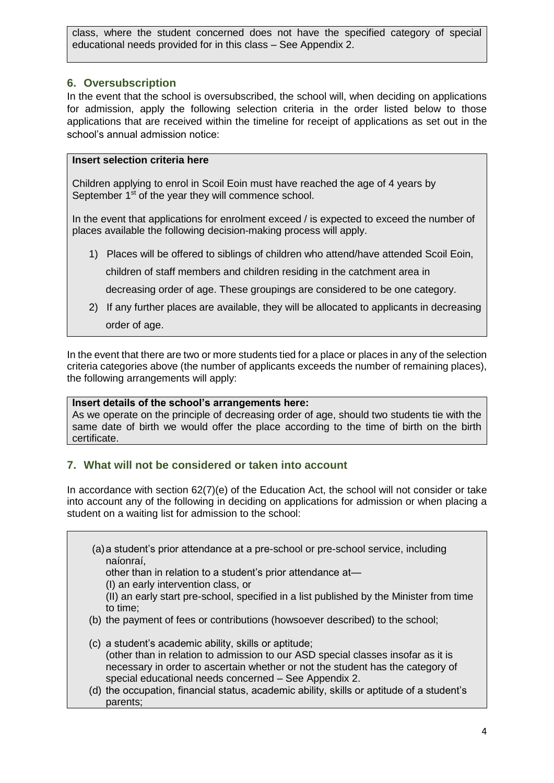class, where the student concerned does not have the specified category of special educational needs provided for in this class – See Appendix 2.

# <span id="page-3-0"></span>**6. Oversubscription**

In the event that the school is oversubscribed, the school will, when deciding on applications for admission, apply the following selection criteria in the order listed below to those applications that are received within the timeline for receipt of applications as set out in the school's annual admission notice:

# **Insert selection criteria here**

Children applying to enrol in Scoil Eoin must have reached the age of 4 years by September 1<sup>st</sup> of the year they will commence school.

In the event that applications for enrolment exceed / is expected to exceed the number of places available the following decision-making process will apply.

1) Places will be offered to siblings of children who attend/have attended Scoil Eoin, children of staff members and children residing in the catchment area in

decreasing order of age. These groupings are considered to be one category.

2) If any further places are available, they will be allocated to applicants in decreasing order of age.

In the event that there are two or more students tied for a place or places in any of the selection criteria categories above (the number of applicants exceeds the number of remaining places), the following arrangements will apply:

#### **Insert details of the school's arrangements here:**

As we operate on the principle of decreasing order of age, should two students tie with the same date of birth we would offer the place according to the time of birth on the birth certificate.

# **7. What will not be considered or taken into account**

In accordance with section 62(7)(e) of the Education Act, the school will not consider or take into account any of the following in deciding on applications for admission or when placing a student on a waiting list for admission to the school:

(a)a student's prior attendance at a pre-school or pre-school service, including naíonraí,

other than in relation to a student's prior attendance at—

(I) an early intervention class, or

- (II) an early start pre-school, specified in a list published by the Minister from time to time;
- (b) the payment of fees or contributions (howsoever described) to the school;
- (c) a student's academic ability, skills or aptitude; (other than in relation to admission to our ASD special classes insofar as it is necessary in order to ascertain whether or not the student has the category of special educational needs concerned – See Appendix 2.
- (d) the occupation, financial status, academic ability, skills or aptitude of a student's parents;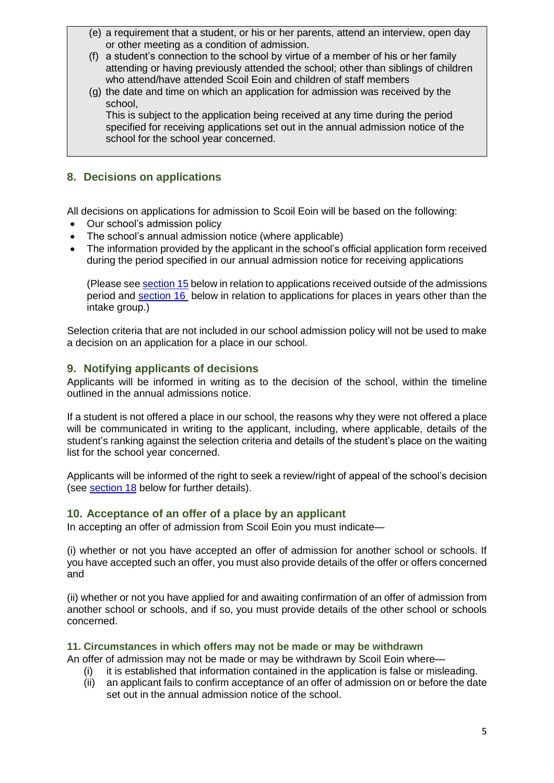- (e) a requirement that a student, or his or her parents, attend an interview, open day or other meeting as a condition of admission.
- (f) a student's connection to the school by virtue of a member of his or her family attending or having previously attended the school; other than siblings of children who attend/have attended Scoil Eoin and children of staff members
- (g) the date and time on which an application for admission was received by the school,

This is subject to the application being received at any time during the period specified for receiving applications set out in the annual admission notice of the school for the school year concerned.

# **8. Decisions on applications**

All decisions on applications for admission to Scoil Eoin will be based on the following:

- Our school's admission policy
- The school's annual admission notice (where applicable)
- The information provided by the applicant in the school's official application form received during the period specified in our annual admission notice for receiving applications

(Please see [section 15](#page-6-0) below in relation to applications received outside of the admissions period and [section 16](#page-6-1) below in relation to applications for places in years other than the intake group.)

Selection criteria that are not included in our school admission policy will not be used to make a decision on an application for a place in our school.

# **9. Notifying applicants of decisions**

Applicants will be informed in writing as to the decision of the school, within the timeline outlined in the annual admissions notice.

If a student is not offered a place in our school, the reasons why they were not offered a place will be communicated in writing to the applicant, including, where applicable, details of the student's ranking against the selection criteria and details of the student's place on the waiting list for the school year concerned.

Applicants will be informed of the right to seek a review/right of appeal of the school's decision (see [section 18](#page-6-2) below for further details).

# <span id="page-4-0"></span>**10. Acceptance of an offer of a place by an applicant**

In accepting an offer of admission from Scoil Eoin you must indicate—

(i) whether or not you have accepted an offer of admission for another school or schools. If you have accepted such an offer, you must also provide details of the offer or offers concerned and

(ii) whether or not you have applied for and awaiting confirmation of an offer of admission from another school or schools, and if so, you must provide details of the other school or schools concerned.

#### **11. Circumstances in which offers may not be made or may be withdrawn**

An offer of admission may not be made or may be withdrawn by Scoil Eoin where—

- (i) it is established that information contained in the application is false or misleading.
- (ii) an applicant fails to confirm acceptance of an offer of admission on or before the date set out in the annual admission notice of the school.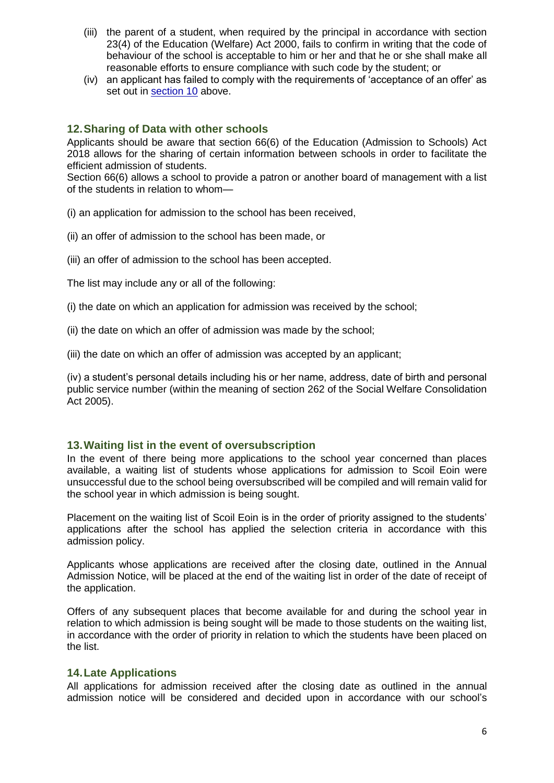- (iii) the parent of a student, when required by the principal in accordance with section 23(4) of the Education (Welfare) Act 2000, fails to confirm in writing that the code of behaviour of the school is acceptable to him or her and that he or she shall make all reasonable efforts to ensure compliance with such code by the student; or
- (iv) an applicant has failed to comply with the requirements of 'acceptance of an offer' as set out in [section 10](#page-4-0) above.

#### **12.Sharing of Data with other schools**

Applicants should be aware that section 66(6) of the Education (Admission to Schools) Act 2018 allows for the sharing of certain information between schools in order to facilitate the efficient admission of students.

Section 66(6) allows a school to provide a patron or another board of management with a list of the students in relation to whom—

(i) an application for admission to the school has been received,

- (ii) an offer of admission to the school has been made, or
- (iii) an offer of admission to the school has been accepted.

The list may include any or all of the following:

- (i) the date on which an application for admission was received by the school;
- (ii) the date on which an offer of admission was made by the school;
- (iii) the date on which an offer of admission was accepted by an applicant;

(iv) a student's personal details including his or her name, address, date of birth and personal public service number (within the meaning of section 262 of the Social Welfare Consolidation Act 2005).

#### **13.Waiting list in the event of oversubscription**

In the event of there being more applications to the school year concerned than places available, a waiting list of students whose applications for admission to Scoil Eoin were unsuccessful due to the school being oversubscribed will be compiled and will remain valid for the school year in which admission is being sought.

Placement on the waiting list of Scoil Eoin is in the order of priority assigned to the students' applications after the school has applied the selection criteria in accordance with this admission policy.

Applicants whose applications are received after the closing date, outlined in the Annual Admission Notice, will be placed at the end of the waiting list in order of the date of receipt of the application.

Offers of any subsequent places that become available for and during the school year in relation to which admission is being sought will be made to those students on the waiting list, in accordance with the order of priority in relation to which the students have been placed on the list.

#### **14.Late Applications**

All applications for admission received after the closing date as outlined in the annual admission notice will be considered and decided upon in accordance with our school's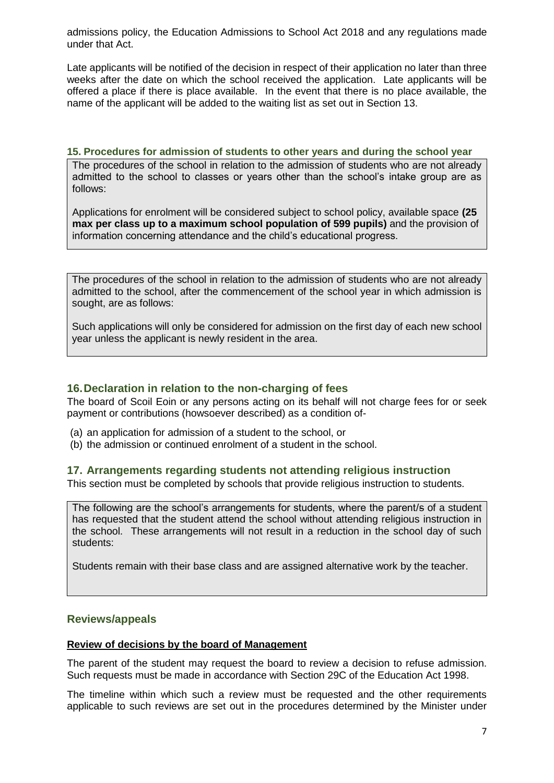admissions policy, the Education Admissions to School Act 2018 and any regulations made under that Act.

Late applicants will be notified of the decision in respect of their application no later than three weeks after the date on which the school received the application. Late applicants will be offered a place if there is place available. In the event that there is no place available, the name of the applicant will be added to the waiting list as set out in Section 13.

#### <span id="page-6-0"></span>**15. Procedures for admission of students to other years and during the school year**

The procedures of the school in relation to the admission of students who are not already admitted to the school to classes or years other than the school's intake group are as follows:

Applications for enrolment will be considered subject to school policy, available space **(25 max per class up to a maximum school population of 599 pupils)** and the provision of information concerning attendance and the child's educational progress.

The procedures of the school in relation to the admission of students who are not already admitted to the school, after the commencement of the school year in which admission is sought, are as follows:

Such applications will only be considered for admission on the first day of each new school year unless the applicant is newly resident in the area.

#### <span id="page-6-1"></span>**16.Declaration in relation to the non-charging of fees**

The board of Scoil Eoin or any persons acting on its behalf will not charge fees for or seek payment or contributions (howsoever described) as a condition of-

- (a) an application for admission of a student to the school, or
- (b) the admission or continued enrolment of a student in the school.

#### **17. Arrangements regarding students not attending religious instruction**

This section must be completed by schools that provide religious instruction to students.

The following are the school's arrangements for students, where the parent/s of a student has requested that the student attend the school without attending religious instruction in the school. These arrangements will not result in a reduction in the school day of such students:

Students remain with their base class and are assigned alternative work by the teacher.

#### <span id="page-6-2"></span>**Reviews/appeals**

#### **Review of decisions by the board of Management**

The parent of the student may request the board to review a decision to refuse admission. Such requests must be made in accordance with Section 29C of the Education Act 1998.

The timeline within which such a review must be requested and the other requirements applicable to such reviews are set out in the procedures determined by the Minister under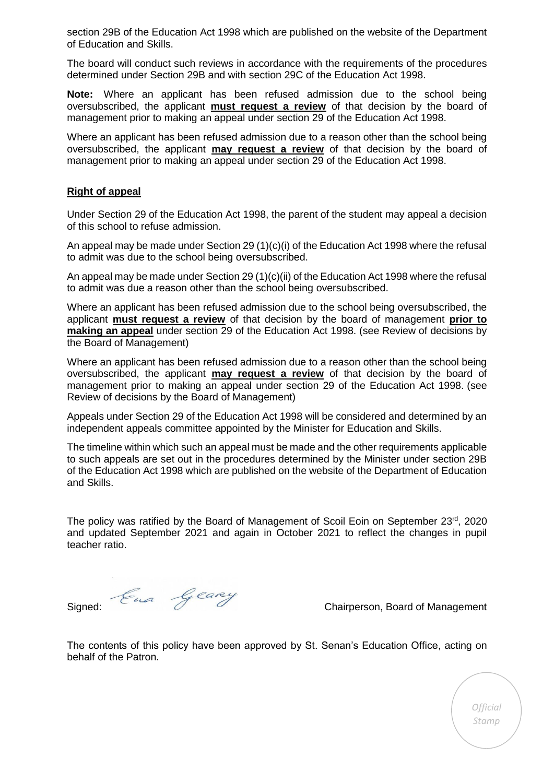section 29B of the Education Act 1998 which are published on the website of the Department of Education and Skills.

The board will conduct such reviews in accordance with the requirements of the procedures determined under Section 29B and with section 29C of the Education Act 1998.

**Note:** Where an applicant has been refused admission due to the school being oversubscribed, the applicant **must request a review** of that decision by the board of management prior to making an appeal under section 29 of the Education Act 1998.

Where an applicant has been refused admission due to a reason other than the school being oversubscribed, the applicant **may request a review** of that decision by the board of management prior to making an appeal under section 29 of the Education Act 1998.

#### **Right of appeal**

Under Section 29 of the Education Act 1998, the parent of the student may appeal a decision of this school to refuse admission.

An appeal may be made under Section 29 (1)(c)(i) of the Education Act 1998 where the refusal to admit was due to the school being oversubscribed.

An appeal may be made under Section 29  $(1)(c)(ii)$  of the Education Act 1998 where the refusal to admit was due a reason other than the school being oversubscribed.

Where an applicant has been refused admission due to the school being oversubscribed, the applicant **must request a review** of that decision by the board of management **prior to making an appeal** under section 29 of the Education Act 1998. (see Review of decisions by the Board of Management)

Where an applicant has been refused admission due to a reason other than the school being oversubscribed, the applicant **may request a review** of that decision by the board of management prior to making an appeal under section 29 of the Education Act 1998. (see Review of decisions by the Board of Management)

Appeals under Section 29 of the Education Act 1998 will be considered and determined by an independent appeals committee appointed by the Minister for Education and Skills.

The timeline within which such an appeal must be made and the other requirements applicable to such appeals are set out in the procedures determined by the Minister under section 29B of the Education Act 1998 which are published on the website of the Department of Education and Skills.

The policy was ratified by the Board of Management of Scoil Eoin on September 23rd, 2020 and updated September 2021 and again in October 2021 to reflect the changes in pupil teacher ratio.

Signed: Cually Carey<br>Chairperson, Board of Management

The contents of this policy have been approved by St. Senan's Education Office, acting on behalf of the Patron.

> *Official Stamp*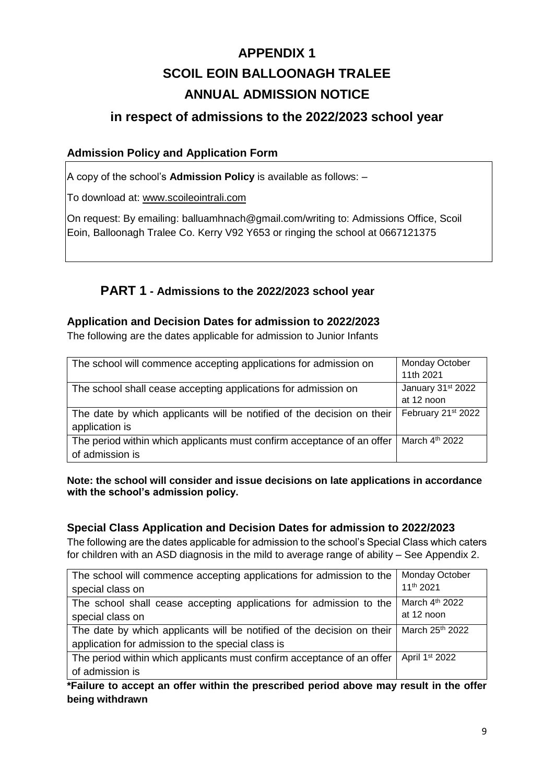# **APPENDIX 1 SCOIL EOIN BALLOONAGH TRALEE ANNUAL ADMISSION NOTICE**

# **in respect of admissions to the 2022/2023 school year**

# **Admission Policy and Application Form**

A copy of the school's **Admission Policy** is available as follows: –

To download at: www.scoileointrali.com

On request: By emailing: balluamhnach@gmail.com/writing to: Admissions Office, Scoil Eoin, Balloonagh Tralee Co. Kerry V92 Y653 or ringing the school at 0667121375

# **PART 1 - Admissions to the 2022/2023 school year**

# **Application and Decision Dates for admission to 2022/2023**

The following are the dates applicable for admission to Junior Infants

| The school will commence accepting applications for admission on       | Monday October                |
|------------------------------------------------------------------------|-------------------------------|
|                                                                        | 11th 2021                     |
| The school shall cease accepting applications for admission on         | January 31 <sup>st</sup> 2022 |
|                                                                        | at 12 noon                    |
| The date by which applicants will be notified of the decision on their | February 21st 2022            |
| application is                                                         |                               |
| The period within which applicants must confirm acceptance of an offer | March $4th$ 2022              |
| of admission is                                                        |                               |

#### **Note: the school will consider and issue decisions on late applications in accordance with the school's admission policy.**

# **Special Class Application and Decision Dates for admission to 2022/2023**

The following are the dates applicable for admission to the school's Special Class which caters for children with an ASD diagnosis in the mild to average range of ability – See Appendix 2.

| The school will commence accepting applications for admission to the   | <b>Monday October</b>      |
|------------------------------------------------------------------------|----------------------------|
| special class on                                                       | 11 <sup>th</sup> 2021      |
| The school shall cease accepting applications for admission to the     | March 4 <sup>th</sup> 2022 |
| special class on                                                       | at 12 noon                 |
| The date by which applicants will be notified of the decision on their | March 25th 2022            |
| application for admission to the special class is                      |                            |
| The period within which applicants must confirm acceptance of an offer | April 1 <sup>st</sup> 2022 |
| of admission is                                                        |                            |

**\*Failure to accept an offer within the prescribed period above may result in the offer being withdrawn**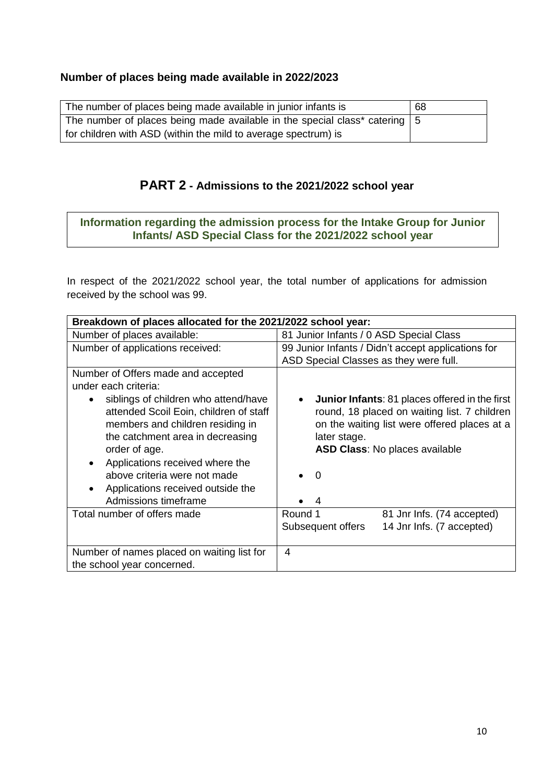# **Number of places being made available in 2022/2023**

| The number of places being made available in junior infants is                             | 68 |
|--------------------------------------------------------------------------------------------|----|
| The number of places being made available in the special class* catering $\vert 5 \rangle$ |    |
| for children with ASD (within the mild to average spectrum) is                             |    |

# **PART 2 - Admissions to the 2021/2022 school year**

# **Information regarding the admission process for the Intake Group for Junior Infants/ ASD Special Class for the 2021/2022 school year**

In respect of the 2021/2022 school year, the total number of applications for admission received by the school was 99.

| Breakdown of places allocated for the 2021/2022 school year:                                                                                                                                                                                                                                            |                                                                                                                                                                                                                                              |  |
|---------------------------------------------------------------------------------------------------------------------------------------------------------------------------------------------------------------------------------------------------------------------------------------------------------|----------------------------------------------------------------------------------------------------------------------------------------------------------------------------------------------------------------------------------------------|--|
| Number of places available:                                                                                                                                                                                                                                                                             | 81 Junior Infants / 0 ASD Special Class                                                                                                                                                                                                      |  |
| Number of applications received:                                                                                                                                                                                                                                                                        | 99 Junior Infants / Didn't accept applications for                                                                                                                                                                                           |  |
|                                                                                                                                                                                                                                                                                                         | ASD Special Classes as they were full.                                                                                                                                                                                                       |  |
| Number of Offers made and accepted                                                                                                                                                                                                                                                                      |                                                                                                                                                                                                                                              |  |
| under each criteria:                                                                                                                                                                                                                                                                                    |                                                                                                                                                                                                                                              |  |
| siblings of children who attend/have<br>attended Scoil Eoin, children of staff<br>members and children residing in<br>the catchment area in decreasing<br>order of age.<br>Applications received where the<br>above criteria were not made<br>Applications received outside the<br>Admissions timeframe | <b>Junior Infants: 81 places offered in the first</b><br>$\bullet$<br>round, 18 placed on waiting list. 7 children<br>on the waiting list were offered places at a<br>later stage.<br><b>ASD Class: No places available</b><br>$\Omega$<br>4 |  |
| Total number of offers made                                                                                                                                                                                                                                                                             | Round 1<br>81 Jnr Infs. (74 accepted)                                                                                                                                                                                                        |  |
|                                                                                                                                                                                                                                                                                                         | 14 Jnr Infs. (7 accepted)<br>Subsequent offers                                                                                                                                                                                               |  |
| Number of names placed on waiting list for                                                                                                                                                                                                                                                              | 4                                                                                                                                                                                                                                            |  |
| the school year concerned.                                                                                                                                                                                                                                                                              |                                                                                                                                                                                                                                              |  |